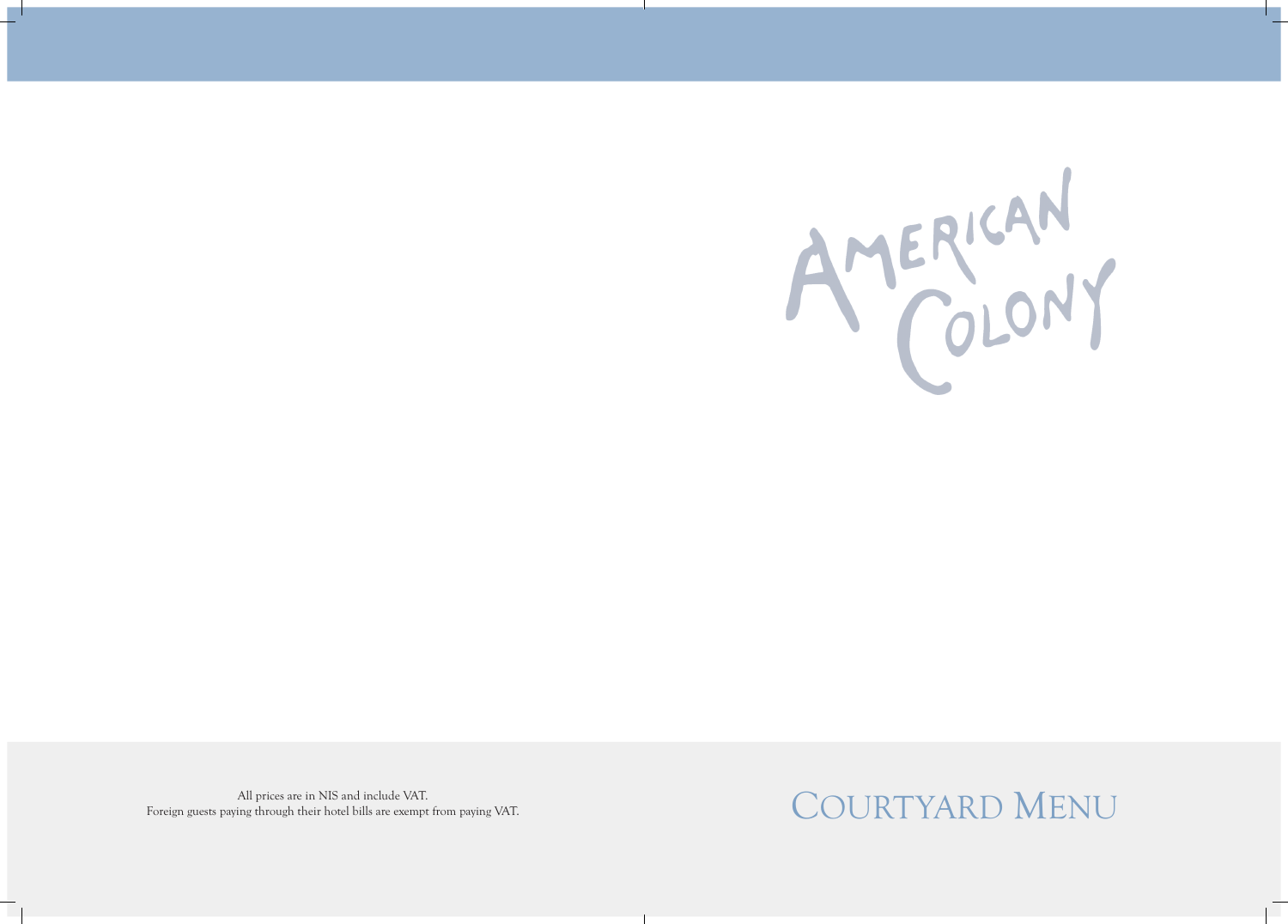

Foreign guests paying through their hotel bills are exempt from paying VAT.

# All prices are in NIS and include VAT.<br>Ving through their hotel bills are exempt from paying VAT.  $\text{COUNTYARD MENU}$

# AMERICAN